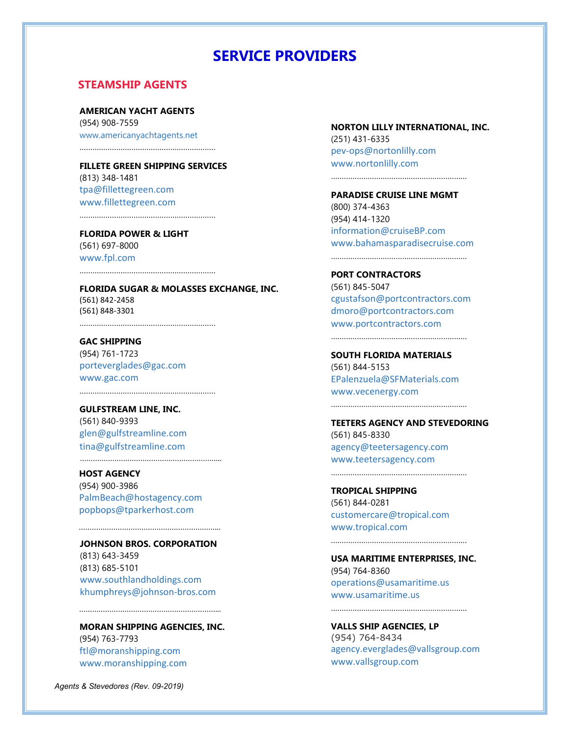# **SERVICE PROVIDERS**

## **STEAMSHIP AGENTS**

**AMERICAN YACHT AGENTS**  (954) 908-7559 www.americanyachtagents.net

………………………………………………………

**FILLETE GREEN SHIPPING SERVICES**  (813) 348-1481 tpa@fillettegreen.com www.fillettegreen.com

………………………………………………………

………………………………………………………

**FLORIDA POWER & LIGHT**  (561) 697-8000 www.fpl.com

**FLORIDA SUGAR & MOLASSES EXCHANGE, INC.**  (561) 842‐2458 (561) 848‐3301 ………………………………………………………

**GAC SHIPPING**  (954) 761-1723 porteverglades@gac.com www.gac.com

………………………………………………………

**GULFSTREAM LINE, INC.**  (561) 840-9393 glen@gulfstreamline.com tina@gulfstreamline.com

**HOST AGENCY**  (954) 900-3986 PalmBeach@hostagency.com popbops@tparkerhost.com

………………………………………………………...

**JOHNSON BROS. CORPORATION**  (813) 643-3459 (813) 685-5101 www.southlandholdings.com khumphreys@johnson‐bros.com

…………………………………………………………

**MORAN SHIPPING AGENCIES, INC.**  (954) 763-7793 ftl@moranshipping.com www.moranshipping.com

…………………………………………………………………

*Agents & Stevedores (Rev. 09-2019)*

#### **NORTON LILLY INTERNATIONAL, INC.**

(251) 431-6335 pev‐ops@nortonlilly.com www.nortonlilly.com

………………………………………………………

**PARADISE CRUISE LINE MGMT**  (800) 374-4363 (954) 414-1320 information@cruiseBP.com www.bahamasparadisecruise.com

**PORT CONTRACTORS**  (561) 845-5047 cgustafson@portcontractors.com dmoro@portcontractors.com www.portcontractors.com

………………………………………………………

………………………………………………………

**SOUTH FLORIDA MATERIALS**  (561) 844-5153 EPalenzuela@SFMaterials.com www.vecenergy.com

………………………………………………………

………………………………………………………

**TEETERS AGENCY AND STEVEDORING**  (561) 845-8330 agency@teetersagency.com www.teetersagency.com

**TROPICAL SHIPPING**  (561) 844-0281 customercare@tropical.com www.tropical.com

**USA MARITIME ENTERPRISES, INC.**  (954) 764-8360 operations@usamaritime.us www.usamaritime.us

………………………………………………………

………………………………………………………

**VALLS SHIP AGENCIES, LP**  (954) 764-8434 agency.everglades@vallsgroup.com www.vallsgroup.com